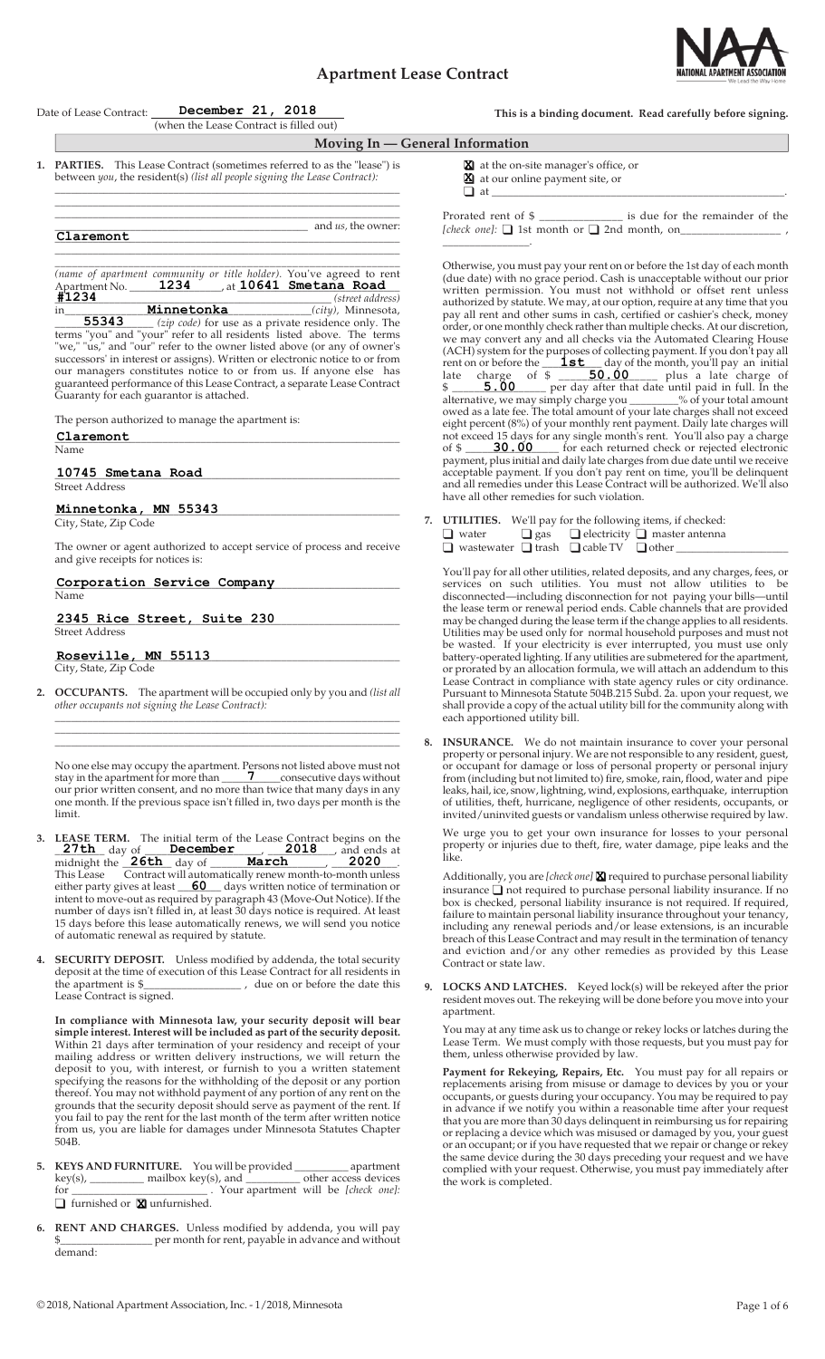# **Apartment Lease Contract**



|  | Date of Lease Contract: December 21, 2018<br>(when the Lease Contract is filled out)                                                                                                                                                                                                                                                                                                                                                                                                                                                                                                                                                                                                                                                                                                                                               | This is a binding document. Read carefully before signing.                                                                                                                                                                                                                                                                                                                                                                                                                                                                                                                                                                                                                                                                                                                                                                                                                                                                                                                                                                                                                                                                                                                                                                                                                                                                                                                                                                                                                             |
|--|------------------------------------------------------------------------------------------------------------------------------------------------------------------------------------------------------------------------------------------------------------------------------------------------------------------------------------------------------------------------------------------------------------------------------------------------------------------------------------------------------------------------------------------------------------------------------------------------------------------------------------------------------------------------------------------------------------------------------------------------------------------------------------------------------------------------------------|----------------------------------------------------------------------------------------------------------------------------------------------------------------------------------------------------------------------------------------------------------------------------------------------------------------------------------------------------------------------------------------------------------------------------------------------------------------------------------------------------------------------------------------------------------------------------------------------------------------------------------------------------------------------------------------------------------------------------------------------------------------------------------------------------------------------------------------------------------------------------------------------------------------------------------------------------------------------------------------------------------------------------------------------------------------------------------------------------------------------------------------------------------------------------------------------------------------------------------------------------------------------------------------------------------------------------------------------------------------------------------------------------------------------------------------------------------------------------------------|
|  |                                                                                                                                                                                                                                                                                                                                                                                                                                                                                                                                                                                                                                                                                                                                                                                                                                    | Moving In - General Information                                                                                                                                                                                                                                                                                                                                                                                                                                                                                                                                                                                                                                                                                                                                                                                                                                                                                                                                                                                                                                                                                                                                                                                                                                                                                                                                                                                                                                                        |
|  | 1. PARTIES. This Lease Contract (sometimes referred to as the "lease") is<br>between you, the resident(s) (list all people signing the Lease Contract):                                                                                                                                                                                                                                                                                                                                                                                                                                                                                                                                                                                                                                                                            | at the on-site manager's office, or<br>at our online payment site, or                                                                                                                                                                                                                                                                                                                                                                                                                                                                                                                                                                                                                                                                                                                                                                                                                                                                                                                                                                                                                                                                                                                                                                                                                                                                                                                                                                                                                  |
|  | and <i>us</i> , the owner:<br>$C1$ aremont                                                                                                                                                                                                                                                                                                                                                                                                                                                                                                                                                                                                                                                                                                                                                                                         | Prorated rent of \$ _______________ is due for the remainder of the<br>[check one]: □ 1st month or □ 2nd month, on_______________________,                                                                                                                                                                                                                                                                                                                                                                                                                                                                                                                                                                                                                                                                                                                                                                                                                                                                                                                                                                                                                                                                                                                                                                                                                                                                                                                                             |
|  | (name of apartment community or title holder). You've agreed to rent<br>Apartment No. 1234 di 10641 Smetana Road<br>#1234<br><b>34</b><br><b>Minnetonka</b> ( <i>street address</i> )<br><b>55343</b> ( <i>zip code)</i> for use as a private residence only. The<br>in<br>terms "you" and "your" refer to all residents listed above. The terms<br>"we," "us," and "our" refer to the owner listed above (or any of owner's<br>successors' in interest or assigns). Written or electronic notice to or from<br>our managers constitutes notice to or from us. If anyone else has<br>guaranteed performance of this Lease Contract, a separate Lease Contract<br>Guaranty for each guarantor is attached.<br>The person authorized to manage the apartment is:<br>Claremont<br>Name<br>10745 Smetana Road<br><b>Street Address</b> | Otherwise, you must pay your rent on or before the 1st day of each month<br>(due date) with no grace period. Cash is unacceptable without our prior<br>written permission. You must not withhold or offset rent unless<br>authorized by statute. We may, at our option, require at any time that you<br>pay all rent and other sums in cash, certified or cashier's check, money<br>order, or one monthly check rather than multiple checks. At our discretion,<br>we may convert any and all checks via the Automated Clearing House<br>(ACH) system for the purposes of collecting payment. If you don't pay all<br>rent on or before the $\frac{\mathbf{1st}}{\mathbf{1st}}$ day of the month, you'll pay an initial<br>late charge of $\frac{2}{3}$ $\frac{50.00}{\frac{1}{3}}$ plus a late charge of<br>\$ _____ 5.00 _____ per day after that date until paid in full. In the<br>alternative, we may simply charge you _______% of your total amount<br>owed as a late fee. The total amount of your late charges shall not exceed<br>eight percent (8%) of your monthly rent payment. Daily late charges will<br>not exceed 15 days for any single month's rent. You'll also pay a charge<br>payment, plus initial and daily late charges from due date until we receive<br>acceptable payment. If you don't pay rent on time, you'll be delinquent<br>and all remedies under this Lease Contract will be authorized. We'll also<br>have all other remedies for such violation. |
|  | Minnetonka, MN 55343<br>City, State, Zip Code<br>The owner or agent authorized to accept service of process and receive                                                                                                                                                                                                                                                                                                                                                                                                                                                                                                                                                                                                                                                                                                            | 7. UTILITIES. We'll pay for the following items, if checked:<br>$\Box$ water $\Box$ gas $\Box$ electricity $\Box$ master antenna<br>□ wastewater □ trash □ cable TV □ other ___________                                                                                                                                                                                                                                                                                                                                                                                                                                                                                                                                                                                                                                                                                                                                                                                                                                                                                                                                                                                                                                                                                                                                                                                                                                                                                                |
|  | and give receipts for notices is:<br>Corporation Service Company                                                                                                                                                                                                                                                                                                                                                                                                                                                                                                                                                                                                                                                                                                                                                                   | You'll pay for all other utilities, related deposits, and any charges, fees, or                                                                                                                                                                                                                                                                                                                                                                                                                                                                                                                                                                                                                                                                                                                                                                                                                                                                                                                                                                                                                                                                                                                                                                                                                                                                                                                                                                                                        |
|  | Name                                                                                                                                                                                                                                                                                                                                                                                                                                                                                                                                                                                                                                                                                                                                                                                                                               | services on such utilities. You must not allow utilities to be<br>disconnected—including disconnection for not paying your bills—until                                                                                                                                                                                                                                                                                                                                                                                                                                                                                                                                                                                                                                                                                                                                                                                                                                                                                                                                                                                                                                                                                                                                                                                                                                                                                                                                                 |
|  | 2345 Rice Street, Suite 230<br><b>Street Address</b>                                                                                                                                                                                                                                                                                                                                                                                                                                                                                                                                                                                                                                                                                                                                                                               | the lease term or renewal period ends. Cable channels that are provided<br>may be changed during the lease term if the change applies to all residents.<br>Utilities may be used only for normal household purposes and must not<br>be wasted. If your electricity is ever interrupted, you must use only                                                                                                                                                                                                                                                                                                                                                                                                                                                                                                                                                                                                                                                                                                                                                                                                                                                                                                                                                                                                                                                                                                                                                                              |
|  | Roseville, MN 55113                                                                                                                                                                                                                                                                                                                                                                                                                                                                                                                                                                                                                                                                                                                                                                                                                | battery-operated lighting. If any utilities are submetered for the apartment,                                                                                                                                                                                                                                                                                                                                                                                                                                                                                                                                                                                                                                                                                                                                                                                                                                                                                                                                                                                                                                                                                                                                                                                                                                                                                                                                                                                                          |
|  | City, State, Zip Code                                                                                                                                                                                                                                                                                                                                                                                                                                                                                                                                                                                                                                                                                                                                                                                                              | or prorated by an allocation formula, we will attach an addendum to this<br>Lease Contract in compliance with state agency rules or city ordinance.                                                                                                                                                                                                                                                                                                                                                                                                                                                                                                                                                                                                                                                                                                                                                                                                                                                                                                                                                                                                                                                                                                                                                                                                                                                                                                                                    |
|  | 2. OCCUPANTS. The apartment will be occupied only by you and (list all<br>other occupants not signing the Lease Contract):                                                                                                                                                                                                                                                                                                                                                                                                                                                                                                                                                                                                                                                                                                         | Pursuant to Minnesota Statute 504B.215 Subd. 2a. upon your request, we<br>shall provide a copy of the actual utility bill for the community along with                                                                                                                                                                                                                                                                                                                                                                                                                                                                                                                                                                                                                                                                                                                                                                                                                                                                                                                                                                                                                                                                                                                                                                                                                                                                                                                                 |

 No one else may occupy the apartment. Persons not listed above must not stay in the apartment for more than **7** consecutive days without stay in the apartment for more than  $\frac{7}{2}$  consecutive days without our prior written consent, and no more than twice that many days in any one month. If the previous space isn't filled in, two days per month is the limit.

\_\_\_\_\_\_\_\_\_\_\_\_\_\_\_\_\_\_\_\_\_\_\_\_\_\_\_\_\_\_\_\_\_\_\_\_\_\_\_\_\_\_\_\_\_\_\_\_\_\_\_\_\_\_\_\_\_\_\_\_\_\_\_\_ \_\_\_\_\_\_\_\_\_\_\_\_\_\_\_\_\_\_\_\_\_\_\_\_\_\_\_\_\_\_\_\_\_\_\_\_\_\_\_\_\_\_\_\_\_\_\_\_\_\_\_\_\_\_\_\_\_\_\_\_\_\_\_\_ \_\_\_\_\_\_\_\_\_\_\_\_\_\_\_\_\_\_\_\_\_\_\_\_\_\_\_\_\_\_\_\_\_\_\_\_\_\_\_\_\_\_\_\_\_\_\_\_\_\_\_\_\_\_\_\_\_\_\_\_\_\_\_\_

- **3. LEASE TERM.** The initial term of the Lease Contract begins on the  $\frac{27\text{th}}{27\text{th}}$  day of  $\frac{\text{December}}{\text{December}}$ ,  $\frac{2018}{\text{6}}$  and ends at midnight the  $\overline{\text{26th}}$  day of  $\overline{\text{March}}$   $\overline{\text{1,2020}}$ . **Example 27th** day of **December 2018**, and ends at midnight the **26th** day of **March** 2020 This Lease Contract will automatically renew month-to-month unless either party gives at least **60** days written notice of termination or intent to move-out as required by paragraph 43 (Move-Out Notice). If the number of days isn't filled in, at least 30 days notice is required. At least 15 days before this lease automatically renews, we will send you notice of automatic renewal as required by statute. **27th 26th March 2020 December 2018**
- **4. SECURITY DEPOSIT.** Unless modified by addenda, the total security deposit at the time of execution of this Lease Contract for all residents in the apartment is \$\_\_\_\_\_\_\_\_\_\_\_\_\_\_\_\_\_\_ , due on or before the date this Lease Contract is signed.

**In compliance with Minnesota law, your security deposit will bear simple interest. Interest will be included as part of the security deposit.**  Within 21 days after termination of your residency and receipt of your mailing address or written delivery instructions, we will return the deposit to you, with interest, or furnish to you a written statement specifying the reasons for the withholding of the deposit or any portion thereof. You may not withhold payment of any portion of any rent on the grounds that the security deposit should serve as payment of the rent. If you fail to pay the rent for the last month of the term after written notice from us, you are liable for damages under Minnesota Statutes Chapter 504B.

- **5. KEYS AND FURNITURE.** You will be provided \_\_\_\_\_\_\_\_\_\_ apartment  $key(s)$ , \_\_\_\_\_\_\_\_\_\_\_\_\_ mailbox  $key(s)$ , and \_\_\_\_\_\_\_\_\_\_\_\_ other access devices mailbox key(s), and **the** *s* other access devices the mailbox key(s), and **the** *s* other access devices **T** furnished or **X** unfurnished.
- **6. RENT AND CHARGES.** Unless modified by addenda, you will pay per month for rent, payable in advance and without demand:

or occupant for damage or loss of personal property or personal injury from (including but not limited to) fire, smoke, rain, flood, water and pipe leaks, hail, ice, snow, lightning, wind, explosions, earthquake, interruption of utilities, theft, hurricane, negligence of other residents, occupants, or

**8. INSURANCE.** We do not maintain insurance to cover your personal property or personal injury. We are not responsible to any resident, guest,

each apportioned utility bill.

 We urge you to get your own insurance for losses to your personal property or injuries due to theft, fire, water damage, pipe leaks and the like.

invited/uninvited guests or vandalism unless otherwise required by law.

Additionally, you are [check one] **X** required to purchase personal liability insurance  $\Box$  not required to purchase personal liability insurance. If no box is checked, personal liability insurance is not required. If required, failure to maintain personal liability insurance throughout your tenancy, including any renewal periods and/or lease extensions, is an incurable breach of this Lease Contract and may result in the termination of tenancy and eviction and/or any other remedies as provided by this Lease Contract or state law.

**9. LOCKS AND LATCHES.** Keyed lock(s) will be rekeyed after the prior resident moves out. The rekeying will be done before you move into your apartment.

 You may at any time ask us to change or rekey locks or latches during the Lease Term. We must comply with those requests, but you must pay for them, unless otherwise provided by law.

**Payment for Rekeying, Repairs, Etc.** You must pay for all repairs or replacements arising from misuse or damage to devices by you or your occupants, or guests during your occupancy. You may be required to pay in advance if we notify you within a reasonable time after your request that you are more than 30 days delinquent in reimbursing us for repairing or replacing a device which was misused or damaged by you, your guest or an occupant; or if you have requested that we repair or change or rekey the same device during the 30 days preceding your request and we have complied with your request. Otherwise, you must pay immediately after the work is completed.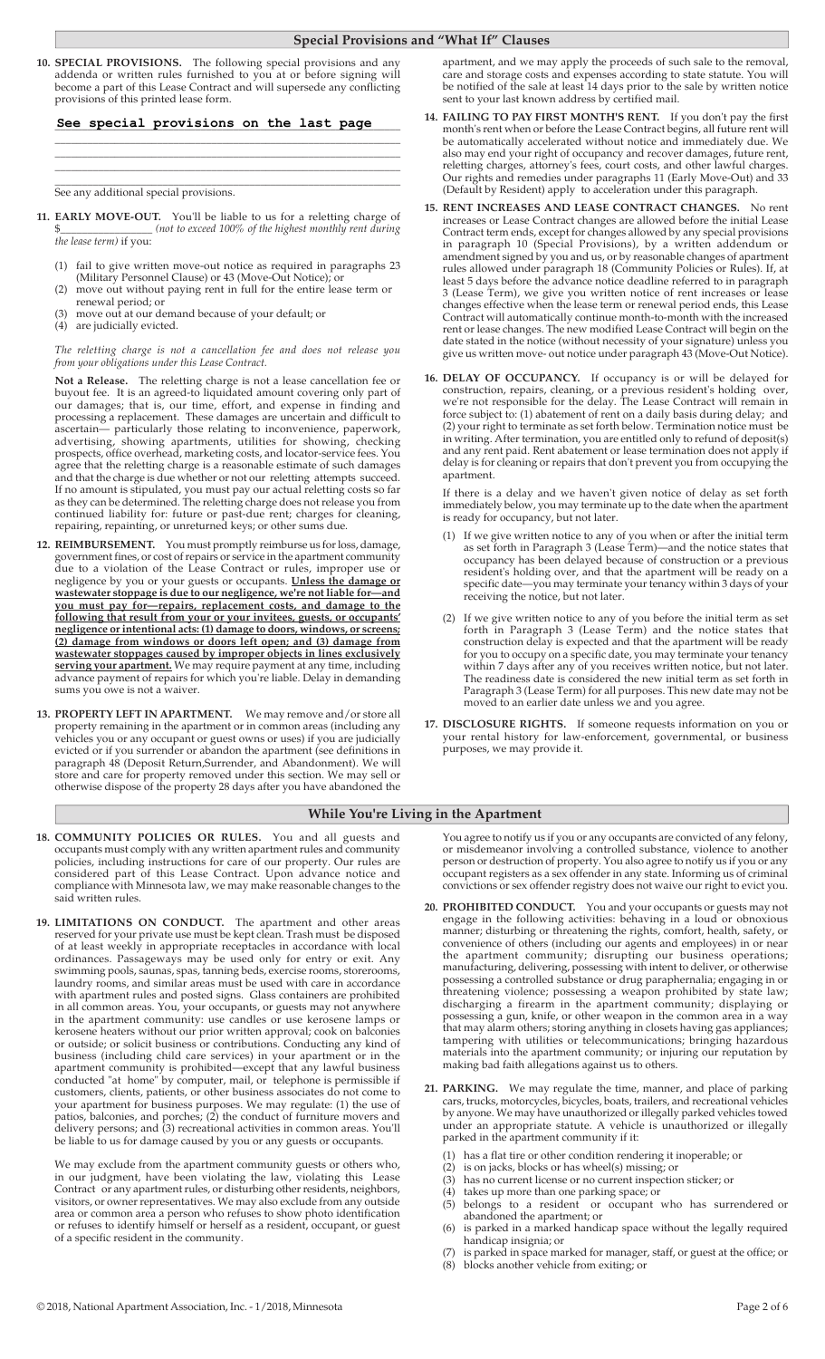## **Special Provisions and "What If" Clauses**

**10. SPECIAL PROVISIONS.** The following special provisions and any addenda or written rules furnished to you at or before signing will become a part of this Lease Contract and will supersede any conflicting provisions of this printed lease form.

### \_\_\_\_\_\_\_\_\_\_\_\_\_\_\_\_\_\_\_\_\_\_\_\_\_\_\_\_\_\_\_\_\_\_\_\_\_\_\_\_\_\_\_\_\_\_\_\_\_\_\_\_\_\_\_\_\_\_\_\_\_\_\_\_ **See special provisions on the last page**

\_\_\_\_\_\_\_\_\_\_\_\_\_\_\_\_\_\_\_\_\_\_\_\_\_\_\_\_\_\_\_\_\_\_\_\_\_\_\_\_\_\_\_\_\_\_\_\_\_\_\_\_\_\_\_\_\_\_\_\_\_\_\_\_ \_\_\_\_\_\_\_\_\_\_\_\_\_\_\_\_\_\_\_\_\_\_\_\_\_\_\_\_\_\_\_\_\_\_\_\_\_\_\_\_\_\_\_\_\_\_\_\_\_\_\_\_\_\_\_\_\_\_\_\_\_\_\_\_ \_\_\_\_\_\_\_\_\_\_\_\_\_\_\_\_\_\_\_\_\_\_\_\_\_\_\_\_\_\_\_\_\_\_\_\_\_\_\_\_\_\_\_\_\_\_\_\_\_\_\_\_\_\_\_\_\_\_\_\_\_\_\_\_

\_\_\_\_\_\_\_\_\_\_\_\_\_\_\_\_\_\_\_\_\_\_\_\_\_\_\_\_\_\_\_\_\_\_\_\_\_\_\_\_\_\_\_\_\_\_\_\_\_\_\_\_\_\_\_\_\_\_\_\_\_\_\_\_ See any additional special provisions.

- **11. EARLY MOVE-OUT.** You'll be liable to us for a reletting charge of \$\_\_\_\_\_\_\_\_\_\_\_\_\_\_\_\_\_ *(not to exceed 100% of the highest monthly rent during the lease term)* if you:
- (1) fail to give written move-out notice as required in paragraphs 23 (Military Personnel Clause) or 43 (Move-Out Notice); or
	- (2) move out without paying rent in full for the entire lease term or renewal period; or
	- (3) move out at our demand because of your default; or
	- (4) are judicially evicted.

*The reletting charge is not a cancellation fee and does not release you from your obligations under this Lease Contract.* 

**Not a Release.** The reletting charge is not a lease cancellation fee or buyout fee. It is an agreed-to liquidated amount covering only part of our damages; that is, our time, effort, and expense in finding and processing a replacement. These damages are uncertain and difficult to ascertain— particularly those relating to inconvenience, paperwork, advertising, showing apartments, utilities for showing, checking prospects, office overhead, marketing costs, and locator-service fees. You agree that the reletting charge is a reasonable estimate of such damages and that the charge is due whether or not our reletting attempts succeed. If no amount is stipulated, you must pay our actual reletting costs so far as they can be determined. The reletting charge does not release you from continued liability for: future or past-due rent; charges for cleaning, repairing, repainting, or unreturned keys; or other sums due.

- **12. REIMBURSEMENT.** You must promptly reimburse us for loss, damage, government fines, or cost of repairs or service in the apartment community due to a violation of the Lease Contract or rules, improper use or negligence by you or your guests or occupants. **Unless the damage or wastewater stoppage is due to our negligence, we're not liable for—and you must pay for—repairs, replacement costs, and damage to the following that result from your or your invitees, guests, or occupants' negligence or intentional acts: (1) damage to doors, windows, or screens; (2) damage from windows or doors left open; and (3) damage from wastewater stoppages caused by improper objects in lines exclusively serving your apartment.** We may require payment at any time, including advance payment of repairs for which you're liable. Delay in demanding sums you owe is not a waiver.
- **13. PROPERTY LEFT IN APARTMENT.** We may remove and/or store all property remaining in the apartment or in common areas (including any vehicles you or any occupant or guest owns or uses) if you are judicially evicted or if you surrender or abandon the apartment (see definitions in paragraph 48 (Deposit Return,Surrender, and Abandonment). We will store and care for property removed under this section. We may sell or otherwise dispose of the property 28 days after you have abandoned the

apartment, and we may apply the proceeds of such sale to the removal, care and storage costs and expenses according to state statute. You will be notified of the sale at least 14 days prior to the sale by written notice sent to your last known address by certified mail.

- **14. FAILING TO PAY FIRST MONTH'S RENT.** If you don't pay the first month's rent when or before the Lease Contract begins, all future rent will be automatically accelerated without notice and immediately due. We also may end your right of occupancy and recover damages, future rent, reletting charges, attorney's fees, court costs, and other lawful charges. Our rights and remedies under paragraphs 11 (Early Move-Out) and 33 (Default by Resident) apply to acceleration under this paragraph.
- **15. RENT INCREASES AND LEASE CONTRACT CHANGES.** No rent increases or Lease Contract changes are allowed before the initial Lease Contract term ends, except for changes allowed by any special provisions in paragraph 10 (Special Provisions), by a written addendum or amendment signed by you and us, or by reasonable changes of apartment rules allowed under paragraph 18 (Community Policies or Rules). If, at least 5 days before the advance notice deadline referred to in paragraph 3 (Lease Term), we give you written notice of rent increases or lease changes effective when the lease term or renewal period ends, this Lease Contract will automatically continue month-to-month with the increased rent or lease changes. The new modified Lease Contract will begin on the date stated in the notice (without necessity of your signature) unless you give us written move- out notice under paragraph 43 (Move-Out Notice).
- **16. DELAY OF OCCUPANCY.** If occupancy is or will be delayed for construction, repairs, cleaning, or a previous resident's holding over, we're not responsible for the delay. The Lease Contract will remain in force subject to: (1) abatement of rent on a daily basis during delay; and (2) your right to terminate as set forth below. Termination notice must be in writing. After termination, you are entitled only to refund of deposit(s) and any rent paid. Rent abatement or lease termination does not apply if delay is for cleaning or repairs that don't prevent you from occupying the apartment.

 If there is a delay and we haven't given notice of delay as set forth immediately below, you may terminate up to the date when the apartment is ready for occupancy, but not later.

- (1) If we give written notice to any of you when or after the initial term as set forth in Paragraph 3 (Lease Term)—and the notice states that occupancy has been delayed because of construction or a previous resident's holding over, and that the apartment will be ready on a specific date—you may terminate your tenancy within 3 days of your receiving the notice, but not later.
- (2) If we give written notice to any of you before the initial term as set forth in Paragraph 3 (Lease Term) and the notice states that construction delay is expected and that the apartment will be ready for you to occupy on a specific date, you may terminate your tenancy within 7 days after any of you receives written notice, but not later. The readiness date is considered the new initial term as set forth in Paragraph 3 (Lease Term) for all purposes. This new date may not be moved to an earlier date unless we and you agree.
- **17. DISCLOSURE RIGHTS.** If someone requests information on you or your rental history for law-enforcement, governmental, or business purposes, we may provide it.

## **While You're Living in the Apartment**

- **18. COMMUNITY POLICIES OR RULES.** You and all guests and occupants must comply with any written apartment rules and community policies, including instructions for care of our property. Our rules are considered part of this Lease Contract. Upon advance notice and compliance with Minnesota law, we may make reasonable changes to the said written rules.
- **19. LIMITATIONS ON CONDUCT.** The apartment and other areas reserved for your private use must be kept clean. Trash must be disposed of at least weekly in appropriate receptacles in accordance with local ordinances. Passageways may be used only for entry or exit. Any swimming pools, saunas, spas, tanning beds, exercise rooms, storerooms, laundry rooms, and similar areas must be used with care in accordance with apartment rules and posted signs. Glass containers are prohibited in all common areas. You, your occupants, or guests may not anywhere in the apartment community: use candles or use kerosene lamps or kerosene heaters without our prior written approval; cook on balconies or outside; or solicit business or contributions. Conducting any kind of business (including child care services) in your apartment or in the apartment community is prohibited—except that any lawful business conducted "at home" by computer, mail, or telephone is permissible if customers, clients, patients, or other business associates do not come to your apartment for business purposes. We may regulate: (1) the use of patios, balconies, and porches; (2) the conduct of furniture movers and delivery persons; and (3) recreational activities in common areas. You'll be liable to us for damage caused by you or any guests or occupants.

 We may exclude from the apartment community guests or others who, in our judgment, have been violating the law, violating this Lease Contract or any apartment rules, or disturbing other residents, neighbors, visitors, or owner representatives. We may also exclude from any outside area or common area a person who refuses to show photo identification or refuses to identify himself or herself as a resident, occupant, or guest of a specific resident in the community.

 You agree to notify us if you or any occupants are convicted of any felony, or misdemeanor involving a controlled substance, violence to another person or destruction of property. You also agree to notify us if you or any occupant registers as a sex offender in any state. Informing us of criminal convictions or sex offender registry does not waive our right to evict you.

- **20. PROHIBITED CONDUCT.** You and your occupants or guests may not engage in the following activities: behaving in a loud or obnoxious manner; disturbing or threatening the rights, comfort, health, safety, or convenience of others (including our agents and employees) in or near the apartment community; disrupting our business operations; manufacturing, delivering, possessing with intent to deliver, or otherwise possessing a controlled substance or drug paraphernalia; engaging in or threatening violence; possessing a weapon prohibited by state law; discharging a firearm in the apartment community; displaying or possessing a gun, knife, or other weapon in the common area in a way that may alarm others; storing anything in closets having gas appliances; tampering with utilities or telecommunications; bringing hazardous materials into the apartment community; or injuring our reputation by making bad faith allegations against us to others.
- **21. PARKING.** We may regulate the time, manner, and place of parking cars, trucks, motorcycles, bicycles, boats, trailers, and recreational vehicles by anyone. We may have unauthorized or illegally parked vehicles towed under an appropriate statute. A vehicle is unauthorized or illegally parked in the apartment community if it:
	- (1) has a flat tire or other condition rendering it inoperable; or
	- (2) is on jacks, blocks or has wheel(s) missing; or
	- (3) has no current license or no current inspection sticker; or
	- (4) takes up more than one parking space; or
	- (5) belongs to a resident or occupant who has surrendered or abandoned the apartment; or
	- (6) is parked in a marked handicap space without the legally required handicap insignia; or
	- (7) is parked in space marked for manager, staff, or guest at the office; or (8) blocks another vehicle from exiting; or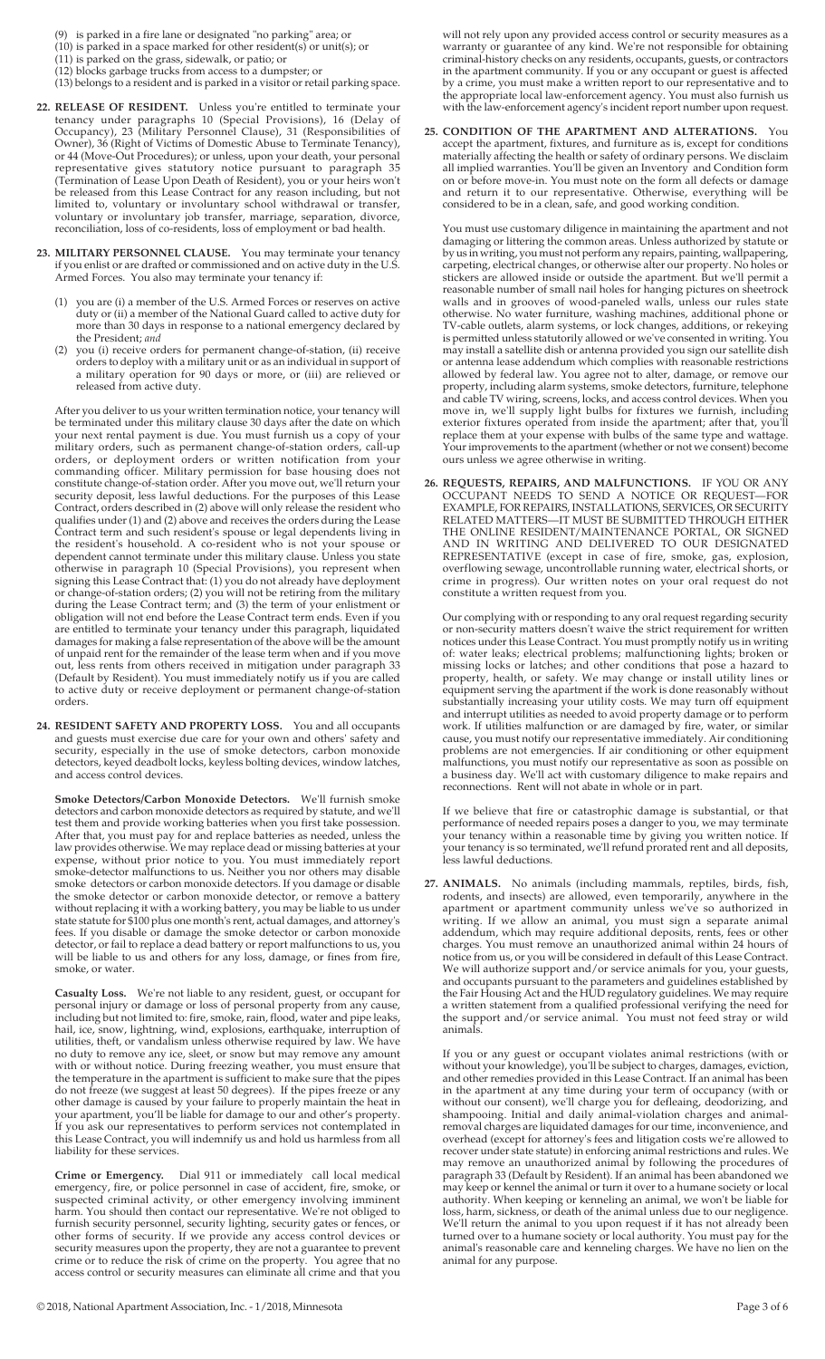- (9) is parked in a fire lane or designated "no parking" area; or
- (10) is parked in a space marked for other resident(s) or unit(s); or
- (11) is parked on the grass, sidewalk, or patio; or
- (12) blocks garbage trucks from access to a dumpster; or (13) belongs to a resident and is parked in a visitor or retail parking space.
- **22. RELEASE OF RESIDENT.** Unless you're entitled to terminate your tenancy under paragraphs 10 (Special Provisions), 16 (Delay of Occupancy), 23 (Military Personnel Clause), 31 (Responsibilities of Owner), 36 (Right of Victims of Domestic Abuse to Terminate Tenancy), or 44 (Move-Out Procedures); or unless, upon your death, your personal representative gives statutory notice pursuant to paragraph 35 (Termination of Lease Upon Death of Resident), you or your heirs won't be released from this Lease Contract for any reason including, but not limited to, voluntary or involuntary school withdrawal or transfer, voluntary or involuntary job transfer, marriage, separation, divorce, reconciliation, loss of co-residents, loss of employment or bad health.
- **23. MILITARY PERSONNEL CLAUSE.** You may terminate your tenancy if you enlist or are drafted or commissioned and on active duty in the U.S. Armed Forces. You also may terminate your tenancy if:
- (1) you are (i) a member of the U.S. Armed Forces or reserves on active duty or (ii) a member of the National Guard called to active duty for more than 30 days in response to a national emergency declared by the President; *and*<br>(2) you (*i*) receive ord
	- (2) you (i) receive orders for permanent change-of-station, (ii) receive orders to deploy with a military unit or as an individual in support of a military operation for 90 days or more, or (iii) are relieved or released from active duty.

 After you deliver to us your written termination notice, your tenancy will be terminated under this military clause 30 days after the date on which your next rental payment is due. You must furnish us a copy of your military orders, such as permanent change-of-station orders, call-up orders, or deployment orders or written notification from your commanding officer. Military permission for base housing does not constitute change-of-station order. After you move out, we'll return your security deposit, less lawful deductions. For the purposes of this Lease Contract, orders described in (2) above will only release the resident who qualifies under (1) and (2) above and receives the orders during the Lease Contract term and such resident's spouse or legal dependents living in the resident's household. A co-resident who is not your spouse or dependent cannot terminate under this military clause. Unless you state otherwise in paragraph 10 (Special Provisions), you represent when signing this Lease Contract that: (1) you do not already have deployment or change-of-station orders; (2) you will not be retiring from the military during the Lease Contract term; and (3) the term of your enlistment or obligation will not end before the Lease Contract term ends. Even if you are entitled to terminate your tenancy under this paragraph, liquidated damages for making a false representation of the above will be the amount of unpaid rent for the remainder of the lease term when and if you move out, less rents from others received in mitigation under paragraph 33 (Default by Resident). You must immediately notify us if you are called to active duty or receive deployment or permanent change-of-station orders.

**24. RESIDENT SAFETY AND PROPERTY LOSS.** You and all occupants and guests must exercise due care for your own and others' safety and security, especially in the use of smoke detectors, carbon monoxide detectors, keyed deadbolt locks, keyless bolting devices, window latches, and access control devices.

**Smoke Detectors/Carbon Monoxide Detectors.** We'll furnish smoke detectors and carbon monoxide detectors as required by statute, and we'll test them and provide working batteries when you first take possession. After that, you must pay for and replace batteries as needed, unless the law provides otherwise. We may replace dead or missing batteries at your expense, without prior notice to you. You must immediately report smoke-detector malfunctions to us. Neither you nor others may disable smoke detectors or carbon monoxide detectors. If you damage or disable the smoke detector or carbon monoxide detector, or remove a battery without replacing it with a working battery, you may be liable to us under state statute for \$100 plus one month's rent, actual damages, and attorney's fees. If you disable or damage the smoke detector or carbon monoxide detector, or fail to replace a dead battery or report malfunctions to us, you will be liable to us and others for any loss, damage, or fines from fire, smoke, or water.

**Casualty Loss.** We're not liable to any resident, guest, or occupant for personal injury or damage or loss of personal property from any cause, including but not limited to: fire, smoke, rain, flood, water and pipe leaks, hail, ice, snow, lightning, wind, explosions, earthquake, interruption of utilities, theft, or vandalism unless otherwise required by law. We have no duty to remove any ice, sleet, or snow but may remove any amount with or without notice. During freezing weather, you must ensure that the temperature in the apartment is sufficient to make sure that the pipes do not freeze (we suggest at least 50 degrees). If the pipes freeze or any other damage is caused by your failure to properly maintain the heat in your apartment, you'll be liable for damage to our and other's property. If you ask our representatives to perform services not contemplated in this Lease Contract, you will indemnify us and hold us harmless from all liability for these services.

**Crime or Emergency.** Dial 911 or immediately call local medical emergency, fire, or police personnel in case of accident, fire, smoke, or suspected criminal activity, or other emergency involving imminent harm. You should then contact our representative. We're not obliged to furnish security personnel, security lighting, security gates or fences, or other forms of security. If we provide any access control devices or security measures upon the property, they are not a guarantee to prevent crime or to reduce the risk of crime on the property. You agree that no access control or security measures can eliminate all crime and that you

will not rely upon any provided access control or security measures as a warranty or guarantee of any kind. We're not responsible for obtaining criminal-history checks on any residents, occupants, guests, or contractors in the apartment community. If you or any occupant or guest is affected by a crime, you must make a written report to our representative and to the appropriate local law-enforcement agency. You must also furnish us with the law-enforcement agency's incident report number upon request.

**25. CONDITION OF THE APARTMENT AND ALTERATIONS.** You accept the apartment, fixtures, and furniture as is, except for conditions materially affecting the health or safety of ordinary persons. We disclaim all implied warranties. You'll be given an Inventory and Condition form on or before move-in. You must note on the form all defects or damage and return it to our representative. Otherwise, everything will be considered to be in a clean, safe, and good working condition.

 You must use customary diligence in maintaining the apartment and not damaging or littering the common areas. Unless authorized by statute or by us in writing, you must not perform any repairs, painting, wallpapering, carpeting, electrical changes, or otherwise alter our property. No holes or stickers are allowed inside or outside the apartment. But we'll permit a reasonable number of small nail holes for hanging pictures on sheetrock walls and in grooves of wood-paneled walls, unless our rules state otherwise. No water furniture, washing machines, additional phone or TV-cable outlets, alarm systems, or lock changes, additions, or rekeying is permitted unless statutorily allowed or we've consented in writing. You may install a satellite dish or antenna provided you sign our satellite dish or antenna lease addendum which complies with reasonable restrictions allowed by federal law. You agree not to alter, damage, or remove our property, including alarm systems, smoke detectors, furniture, telephone and cable TV wiring, screens, locks, and access control devices. When you move in, we'll supply light bulbs for fixtures we furnish, including exterior fixtures operated from inside the apartment; after that, you'll replace them at your expense with bulbs of the same type and wattage. Your improvements to the apartment (whether or not we consent) become ours unless we agree otherwise in writing.

**26. REQUESTS, REPAIRS, AND MALFUNCTIONS.** IF YOU OR ANY OCCUPANT NEEDS TO SEND A NOTICE OR REQUEST—FOR EXAMPLE, FOR REPAIRS, INSTALLATIONS, SERVICES, OR SECURITY RELATED MATTERS—IT MUST BE SUBMITTED THROUGH EITHER THE ONLINE RESIDENT/MAINTENANCE PORTAL, OR SIGNED AND IN WRITING AND DELIVERED TO OUR DESIGNATED REPRESENTATIVE (except in case of fire, smoke, gas, explosion, overflowing sewage, uncontrollable running water, electrical shorts, or crime in progress). Our written notes on your oral request do not constitute a written request from you.

 Our complying with or responding to any oral request regarding security or non-security matters doesn't waive the strict requirement for written notices under this Lease Contract. You must promptly notify us in writing of: water leaks; electrical problems; malfunctioning lights; broken or missing locks or latches; and other conditions that pose a hazard to property, health, or safety. We may change or install utility lines or equipment serving the apartment if the work is done reasonably without substantially increasing your utility costs. We may turn off equipment and interrupt utilities as needed to avoid property damage or to perform work. If utilities malfunction or are damaged by fire, water, or similar cause, you must notify our representative immediately. Air conditioning problems are not emergencies. If air conditioning or other equipment malfunctions, you must notify our representative as soon as possible on a business day. We'll act with customary diligence to make repairs and reconnections. Rent will not abate in whole or in part.

 If we believe that fire or catastrophic damage is substantial, or that performance of needed repairs poses a danger to you, we may terminate your tenancy within a reasonable time by giving you written notice. If your tenancy is so terminated, we'll refund prorated rent and all deposits, less lawful deductions.

**27. ANIMALS.** No animals (including mammals, reptiles, birds, fish, rodents, and insects) are allowed, even temporarily, anywhere in the apartment or apartment community unless we've so authorized in writing. If we allow an animal, you must sign a separate animal addendum, which may require additional deposits, rents, fees or other charges. You must remove an unauthorized animal within 24 hours of notice from us, or you will be considered in default of this Lease Contract. We will authorize support and/or service animals for you, your guests, and occupants pursuant to the parameters and guidelines established by the Fair Housing Act and the HUD regulatory guidelines. We may require a written statement from a qualified professional verifying the need for the support and/or service animal. You must not feed stray or wild animals.

 If you or any guest or occupant violates animal restrictions (with or without your knowledge), you'll be subject to charges, damages, eviction, and other remedies provided in this Lease Contract. If an animal has been in the apartment at any time during your term of occupancy (with or without our consent), we'll charge you for defleaing, deodorizing, and shampooing. Initial and daily animal-violation charges and animalremoval charges are liquidated damages for our time, inconvenience, and overhead (except for attorney's fees and litigation costs we're allowed to recover under state statute) in enforcing animal restrictions and rules. We may remove an unauthorized animal by following the procedures of paragraph 33 (Default by Resident). If an animal has been abandoned we may keep or kennel the animal or turn it over to a humane society or local authority. When keeping or kenneling an animal, we won't be liable for loss, harm, sickness, or death of the animal unless due to our negligence. We'll return the animal to you upon request if it has not already been turned over to a humane society or local authority. You must pay for the animal's reasonable care and kenneling charges. We have no lien on the animal for any purpose.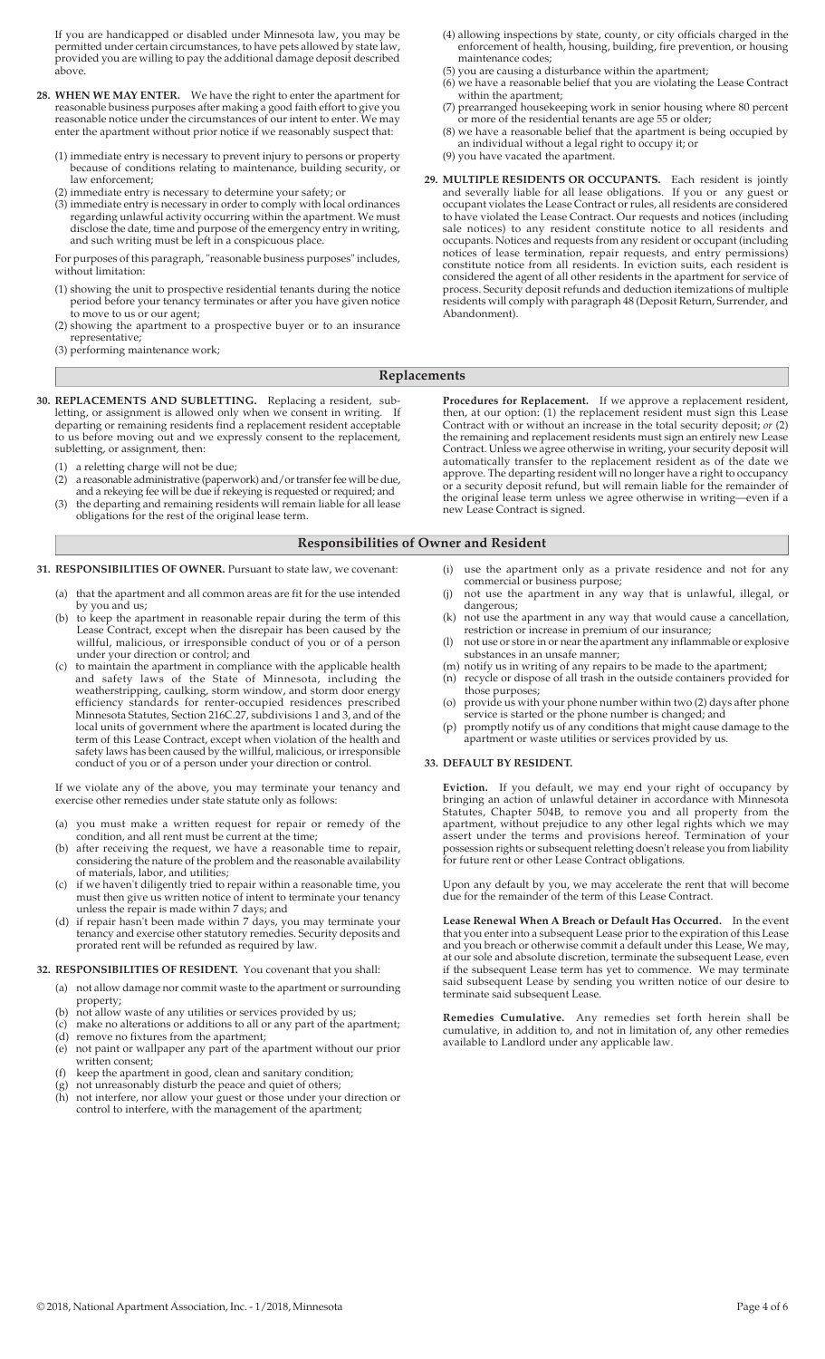If you are handicapped or disabled under Minnesota law, you may be permitted under certain circumstances, to have pets allowed by state law, provided you are willing to pay the additional damage deposit described above.

- **28. WHEN WE MAY ENTER.** We have the right to enter the apartment for reasonable business purposes after making a good faith effort to give you reasonable notice under the circumstances of our intent to enter. We may enter the apartment without prior notice if we reasonably suspect that:
- (1) immediate entry is necessary to prevent injury to persons or property because of conditions relating to maintenance, building security, or law enforcement;
- (2) immediate entry is necessary to determine your safety; or
- (3) immediate entry is necessary in order to comply with local ordinances regarding unlawful activity occurring within the apartment. We must disclose the date, time and purpose of the emergency entry in writing, and such writing must be left in a conspicuous place.

 For purposes of this paragraph, "reasonable business purposes" includes, without limitation:

- (1) showing the unit to prospective residential tenants during the notice period before your tenancy terminates or after you have given notice to move to us or our agent;
- (2) showing the apartment to a prospective buyer or to an insurance representative;
- (3) performing maintenance work;
- (4) allowing inspections by state, county, or city officials charged in the enforcement of health, housing, building, fire prevention, or housing maintenance codes;
- (5) you are causing a disturbance within the apartment;
- (6) we have a reasonable belief that you are violating the Lease Contract within the apartment;
- (7) prearranged housekeeping work in senior housing where 80 percent or more of the residential tenants are age 55 or older;
- (8) we have a reasonable belief that the apartment is being occupied by an individual without a legal right to occupy it; or

(9) you have vacated the apartment.

**29. MULTIPLE RESIDENTS OR OCCUPANTS.** Each resident is jointly and severally liable for all lease obligations. If you or any guest or occupant violates the Lease Contract or rules, all residents are considered to have violated the Lease Contract. Our requests and notices (including sale notices) to any resident constitute notice to all residents and occupants. Notices and requests from any resident or occupant (including notices of lease termination, repair requests, and entry permissions) constitute notice from all residents. In eviction suits, each resident is considered the agent of all other residents in the apartment for service of process. Security deposit refunds and deduction itemizations of multiple residents will comply with paragraph 48 (Deposit Return, Surrender, and Abandonment).

#### **Replacements**

- **30. REPLACEMENTS AND SUBLETTING.** Replacing a resident, subletting, or assignment is allowed only when we consent in writing. departing or remaining residents find a replacement resident acceptable to us before moving out and we expressly consent to the replacement, subletting, or assignment, then:
	- (1) a reletting charge will not be due;<br>(2) a reasonable administrative (paperw
	- a reasonable administrative (paperwork) and/or transfer fee will be due, and a rekeying fee will be due if rekeying is requested or required; and
- (3) the departing and remaining residents will remain liable for all lease obligations for the rest of the original lease term.

## **Responsibilities of Owner and Resident**

- **31. RESPONSIBILITIES OF OWNER.** Pursuant to state law, we covenant:
	- (a) that the apartment and all common areas are fit for the use intended by you and us;
- (b) to keep the apartment in reasonable repair during the term of this Lease Contract, except when the disrepair has been caused by the willful, malicious, or irresponsible conduct of you or of a person under your direction or control; and
	- (c) to maintain the apartment in compliance with the applicable health and safety laws of the State of Minnesota, including the weatherstripping, caulking, storm window, and storm door energy efficiency standards for renter-occupied residences prescribed Minnesota Statutes, Section 216C.27, subdivisions 1 and 3, and of the local units of government where the apartment is located during the term of this Lease Contract, except when violation of the health and safety laws has been caused by the willful, malicious, or irresponsible conduct of you or of a person under your direction or control.

 If we violate any of the above, you may terminate your tenancy and exercise other remedies under state statute only as follows:

- (a) you must make a written request for repair or remedy of the condition, and all rent must be current at the time;
- (b) after receiving the request, we have a reasonable time to repair, considering the nature of the problem and the reasonable availability of materials, labor, and utilities;
	- (c) if we haven't diligently tried to repair within a reasonable time, you must then give us written notice of intent to terminate your tenancy unless the repair is made within 7 days; and
- (d) if repair hasn't been made within 7 days, you may terminate your tenancy and exercise other statutory remedies. Security deposits and prorated rent will be refunded as required by law.

## **32. RESPONSIBILITIES OF RESIDENT.** You covenant that you shall:

- (a) not allow damage nor commit waste to the apartment or surrounding
- property; (b) not allow waste of any utilities or services provided by us;
- (c) make no alterations or additions to all or any part of the apartment;
	- (d) remove no fixtures from the apartment;
	- (e) not paint or wallpaper any part of the apartment without our prior written consent;
	-
- (f) keep the apartment in good, clean and sanitary condition;<br>(g) not unreasonably disturb the peace and quiet of others;<br>(h) not interfere, nor allow your guest or those under your di (g) not unreasonably disturb the peace and quiet of others; (h) not interfere, nor allow your guest or those under your direction or control to interfere, with the management of the apartment;

 **Procedures for Replacement.** If we approve a replacement resident, then, at our option: (1) the replacement resident must sign this Lease Contract with or without an increase in the total security deposit; *or* (2) the remaining and replacement residents must sign an entirely new Lease Contract. Unless we agree otherwise in writing, your security deposit will automatically transfer to the replacement resident as of the date we approve. The departing resident will no longer have a right to occupancy or a security deposit refund, but will remain liable for the remainder of the original lease term unless we agree otherwise in writing—even if a new Lease Contract is signed.

## (i) use the apartment only as a private residence and not for any commercial or business purpose;

- (j) not use the apartment in any way that is unlawful, illegal, or dangerous;
- (k) not use the apartment in any way that would cause a cancellation, restriction or increase in premium of our insurance;
	- (l) not use or store in or near the apartment any inflammable or explosive substances in an unsafe manner;
- (m) notify us in writing of any repairs to be made to the apartment;
	- (n) recycle or dispose of all trash in the outside containers provided for those purposes;
- (o) provide us with your phone number within two (2) days after phone service is started or the phone number is changed; and
	- (p) promptly notify us of any conditions that might cause damage to the apartment or waste utilities or services provided by us.

#### **33. DEFAULT BY RESIDENT.**

 **Eviction.** If you default, we may end your right of occupancy by bringing an action of unlawful detainer in accordance with Minnesota Statutes, Chapter 504B, to remove you and all property from the apartment, without prejudice to any other legal rights which we may assert under the terms and provisions hereof. Termination of your possession rights or subsequent reletting doesn't release you from liability for future rent or other Lease Contract obligations.

 Upon any default by you, we may accelerate the rent that will become due for the remainder of the term of this Lease Contract.

**Lease Renewal When A Breach or Default Has Occurred.** In the event that you enter into a subsequent Lease prior to the expiration of this Lease and you breach or otherwise commit a default under this Lease, We may, at our sole and absolute discretion, terminate the subsequent Lease, even if the subsequent Lease term has yet to commence. We may terminate said subsequent Lease by sending you written notice of our desire to terminate said subsequent Lease.

**Remedies Cumulative.** Any remedies set forth herein shall be cumulative, in addition to, and not in limitation of, any other remedies available to Landlord under any applicable law.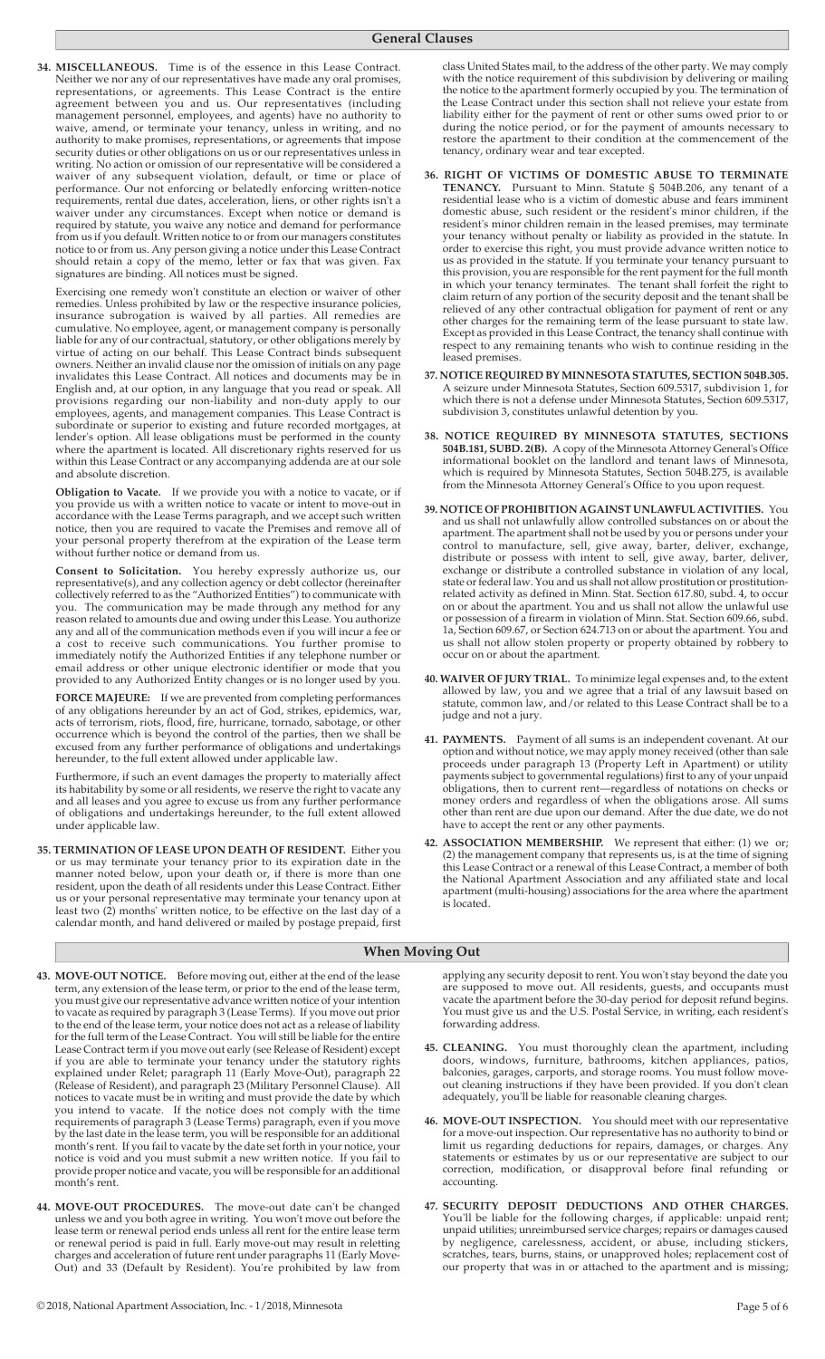**34. MISCELLANEOUS.** Time is of the essence in this Lease Contract. Neither we nor any of our representatives have made any oral promises, representations, or agreements. This Lease Contract is the entire agreement between you and us. Our representatives (including management personnel, employees, and agents) have no authority to waive, amend, or terminate your tenancy, unless in writing, and no authority to make promises, representations, or agreements that impose security duties or other obligations on us or our representatives unless in writing. No action or omission of our representative will be considered a waiver of any subsequent violation, default, or time or place of performance. Our not enforcing or belatedly enforcing written-notice requirements, rental due dates, acceleration, liens, or other rights isn't a waiver under any circumstances. Except when notice or demand is required by statute, you waive any notice and demand for performance from us if you default. Written notice to or from our managers constitutes notice to or from us. Any person giving a notice under this Lease Contract should retain a copy of the memo, letter or fax that was given. Fax signatures are binding. All notices must be signed.

 Exercising one remedy won't constitute an election or waiver of other remedies. Unless prohibited by law or the respective insurance policies, insurance subrogation is waived by all parties. All remedies are cumulative. No employee, agent, or management company is personally liable for any of our contractual, statutory, or other obligations merely by virtue of acting on our behalf. This Lease Contract binds subsequent owners. Neither an invalid clause nor the omission of initials on any page invalidates this Lease Contract. All notices and documents may be in English and, at our option, in any language that you read or speak. All provisions regarding our non-liability and non-duty apply to our employees, agents, and management companies. This Lease Contract is subordinate or superior to existing and future recorded mortgages, at lender's option. All lease obligations must be performed in the county where the apartment is located. All discretionary rights reserved for us within this Lease Contract or any accompanying addenda are at our sole and absolute discretion.

**Obligation to Vacate.** If we provide you with a notice to vacate, or if you provide us with a written notice to vacate or intent to move-out in accordance with the Lease Terms paragraph, and we accept such written notice, then you are required to vacate the Premises and remove all of your personal property therefrom at the expiration of the Lease term without further notice or demand from us.

**Consent to Solicitation.** You hereby expressly authorize us, our representative(s), and any collection agency or debt collector (hereinafter collectively referred to as the "Authorized Entities") to communicate with you. The communication may be made through any method for any reason related to amounts due and owing under this Lease. You authorize any and all of the communication methods even if you will incur a fee or a cost to receive such communications. You further promise to immediately notify the Authorized Entities if any telephone number or email address or other unique electronic identifier or mode that you provided to any Authorized Entity changes or is no longer used by you.

**FORCE MAJEURE:** If we are prevented from completing performances of any obligations hereunder by an act of God, strikes, epidemics, war, acts of terrorism, riots, flood, fire, hurricane, tornado, sabotage, or other occurrence which is beyond the control of the parties, then we shall be excused from any further performance of obligations and undertakings hereunder, to the full extent allowed under applicable law.

 Furthermore, if such an event damages the property to materially affect its habitability by some or all residents, we reserve the right to vacate any and all leases and you agree to excuse us from any further performance of obligations and undertakings hereunder, to the full extent allowed under applicable law.

**35. TERMINATION OF LEASE UPON DEATH OF RESIDENT.** Either you or us may terminate your tenancy prior to its expiration date in the manner noted below, upon your death or, if there is more than one resident, upon the death of all residents under this Lease Contract. Either us or your personal representative may terminate your tenancy upon at least two (2) months' written notice, to be effective on the last day of a calendar month, and hand delivered or mailed by postage prepaid, first

class United States mail, to the address of the other party. We may comply with the notice requirement of this subdivision by delivering or mailing the notice to the apartment formerly occupied by you. The termination of the Lease Contract under this section shall not relieve your estate from liability either for the payment of rent or other sums owed prior to or during the notice period, or for the payment of amounts necessary to restore the apartment to their condition at the commencement of the tenancy, ordinary wear and tear excepted.

- **36. RIGHT OF VICTIMS OF DOMESTIC ABUSE TO TERMINATE TENANCY.** Pursuant to Minn. Statute § 504B.206, any tenant of a residential lease who is a victim of domestic abuse and fears imminent domestic abuse, such resident or the resident's minor children, if the resident's minor children remain in the leased premises, may terminate your tenancy without penalty or liability as provided in the statute. In order to exercise this right, you must provide advance written notice to us as provided in the statute. If you terminate your tenancy pursuant to this provision, you are responsible for the rent payment for the full month in which your tenancy terminates. The tenant shall forfeit the right to claim return of any portion of the security deposit and the tenant shall be relieved of any other contractual obligation for payment of rent or any other charges for the remaining term of the lease pursuant to state law. Except as provided in this Lease Contract, the tenancy shall continue with respect to any remaining tenants who wish to continue residing in the leased premises.
- **37. NOTICE REQUIRED BY MINNESOTA STATUTES, SECTION 504B.305.**  A seizure under Minnesota Statutes, Section 609.5317, subdivision 1, for which there is not a defense under Minnesota Statutes, Section 609.5317, subdivision 3, constitutes unlawful detention by you.
- **38. NOTICE REQUIRED BY MINNESOTA STATUTES, SECTIONS 504B.181, SUBD. 2(B).** A copy of the Minnesota Attorney General's Office informational booklet on the landlord and tenant laws of Minnesota, which is required by Minnesota Statutes, Section 504B.275, is available from the Minnesota Attorney General's Office to you upon request.
- **39. NOTICE OF PROHIBITION AGAINST UNLAWFUL ACTIVITIES.** You and us shall not unlawfully allow controlled substances on or about the apartment. The apartment shall not be used by you or persons under your control to manufacture, sell, give away, barter, deliver, exchange, distribute or possess with intent to sell, give away, barter, deliver, exchange or distribute a controlled substance in violation of any local, state or federal law. You and us shall not allow prostitution or prostitutionrelated activity as defined in Minn. Stat. Section 617.80, subd. 4, to occur on or about the apartment. You and us shall not allow the unlawful use or possession of a firearm in violation of Minn. Stat. Section 609.66, subd. 1a, Section 609.67, or Section 624.713 on or about the apartment. You and us shall not allow stolen property or property obtained by robbery to occur on or about the apartment.
- **40. WAIVER OF JURY TRIAL.** To minimize legal expenses and, to the extent allowed by law, you and we agree that a trial of any lawsuit based on statute, common law, and/or related to this Lease Contract shall be to a judge and not a jury.
- **41. PAYMENTS.** Payment of all sums is an independent covenant. At our option and without notice, we may apply money received (other than sale proceeds under paragraph 13 (Property Left in Apartment) or utility payments subject to governmental regulations) first to any of your unpaid obligations, then to current rent—regardless of notations on checks or money orders and regardless of when the obligations arose. All sums other than rent are due upon our demand. After the due date, we do not have to accept the rent or any other payments.
- **42. ASSOCIATION MEMBERSHIP.** We represent that either: (1) we or; (2) the management company that represents us, is at the time of signing this Lease Contract or a renewal of this Lease Contract, a member of both the National Apartment Association and any affiliated state and local apartment (multi-housing) associations for the area where the apartment is located.

## **When Moving Out**

- **43. MOVE-OUT NOTICE.** Before moving out, either at the end of the lease term, any extension of the lease term, or prior to the end of the lease term, you must give our representative advance written notice of your intention to vacate as required by paragraph 3 (Lease Terms). If you move out prior to the end of the lease term, your notice does not act as a release of liability for the full term of the Lease Contract. You will still be liable for the entire Lease Contract term if you move out early (see Release of Resident) except if you are able to terminate your tenancy under the statutory rights explained under Relet; paragraph 11 (Early Move-Out), paragraph 22 (Release of Resident), and paragraph 23 (Military Personnel Clause). All notices to vacate must be in writing and must provide the date by which you intend to vacate. If the notice does not comply with the time requirements of paragraph 3 (Lease Terms) paragraph, even if you move by the last date in the lease term, you will be responsible for an additional month's rent. If you fail to vacate by the date set forth in your notice, your notice is void and you must submit a new written notice. If you fail to provide proper notice and vacate, you will be responsible for an additional month's rent.
- **44. MOVE-OUT PROCEDURES.** The move-out date can't be changed unless we and you both agree in writing. You won't move out before the lease term or renewal period ends unless all rent for the entire lease term or renewal period is paid in full. Early move-out may result in reletting charges and acceleration of future rent under paragraphs 11 (Early Move-Out) and 33 (Default by Resident). You're prohibited by law from

applying any security deposit to rent. You won't stay beyond the date you are supposed to move out. All residents, guests, and occupants must vacate the apartment before the 30-day period for deposit refund begins. You must give us and the U.S. Postal Service, in writing, each resident's forwarding address.

- **45. CLEANING.** You must thoroughly clean the apartment, including doors, windows, furniture, bathrooms, kitchen appliances, patios, balconies, garages, carports, and storage rooms. You must follow moveout cleaning instructions if they have been provided. If you don't clean adequately, you'll be liable for reasonable cleaning charges.
- **46. MOVE-OUT INSPECTION.** You should meet with our representative for a move-out inspection. Our representative has no authority to bind or limit us regarding deductions for repairs, damages, or charges. Any statements or estimates by us or our representative are subject to our correction, modification, or disapproval before final refunding or accounting.
- **47. SECURITY DEPOSIT DEDUCTIONS AND OTHER CHARGES.** You'll be liable for the following charges, if applicable: unpaid rent; unpaid utilities; unreimbursed service charges; repairs or damages caused by negligence, carelessness, accident, or abuse, including stickers, scratches, tears, burns, stains, or unapproved holes; replacement cost of our property that was in or attached to the apartment and is missing;